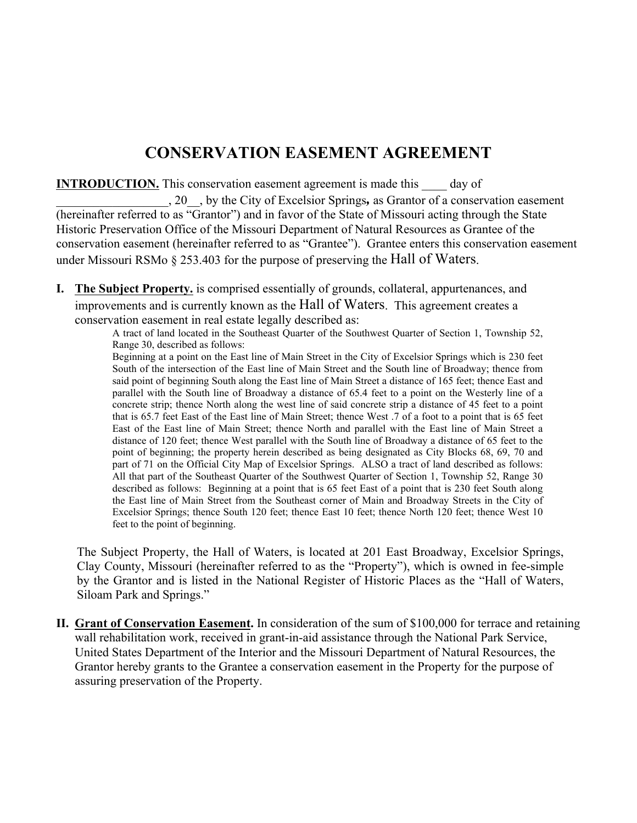# **CONSERVATION EASEMENT AGREEMENT**

**INTRODUCTION.** This conservation easement agreement is made this day of

\_\_\_\_\_\_\_\_\_\_\_\_\_\_\_\_\_\_, 20\_\_, by the City of Excelsior Springs*,* as Grantor of a conservation easement (hereinafter referred to as "Grantor") and in favor of the State of Missouri acting through the State Historic Preservation Office of the Missouri Department of Natural Resources as Grantee of the conservation easement (hereinafter referred to as "Grantee"). Grantee enters this conservation easement under Missouri RSMo § 253.403 for the purpose of preserving the Hall of Waters.

**I. The Subject Property.** is comprised essentially of grounds, collateral, appurtenances, and improvements and is currently known as the Hall of Waters. This agreement creates a conservation easement in real estate legally described as:

A tract of land located in the Southeast Quarter of the Southwest Quarter of Section 1, Township 52, Range 30, described as follows:

Beginning at a point on the East line of Main Street in the City of Excelsior Springs which is 230 feet South of the intersection of the East line of Main Street and the South line of Broadway; thence from said point of beginning South along the East line of Main Street a distance of 165 feet; thence East and parallel with the South line of Broadway a distance of 65.4 feet to a point on the Westerly line of a concrete strip; thence North along the west line of said concrete strip a distance of 45 feet to a point that is 65.7 feet East of the East line of Main Street; thence West .7 of a foot to a point that is 65 feet East of the East line of Main Street; thence North and parallel with the East line of Main Street a distance of 120 feet; thence West parallel with the South line of Broadway a distance of 65 feet to the point of beginning; the property herein described as being designated as City Blocks 68, 69, 70 and part of 71 on the Official City Map of Excelsior Springs. ALSO a tract of land described as follows: All that part of the Southeast Quarter of the Southwest Quarter of Section 1, Township 52, Range 30 described as follows: Beginning at a point that is 65 feet East of a point that is 230 feet South along the East line of Main Street from the Southeast corner of Main and Broadway Streets in the City of Excelsior Springs; thence South 120 feet; thence East 10 feet; thence North 120 feet; thence West 10 feet to the point of beginning.

The Subject Property, the Hall of Waters, is located at 201 East Broadway, Excelsior Springs, Clay County, Missouri (hereinafter referred to as the "Property"), which is owned in fee-simple by the Grantor and is listed in the National Register of Historic Places as the "Hall of Waters, Siloam Park and Springs."

**II. Grant of Conservation Easement.** In consideration of the sum of \$100,000 for terrace and retaining wall rehabilitation work, received in grant-in-aid assistance through the National Park Service, United States Department of the Interior and the Missouri Department of Natural Resources, the Grantor hereby grants to the Grantee a conservation easement in the Property for the purpose of assuring preservation of the Property.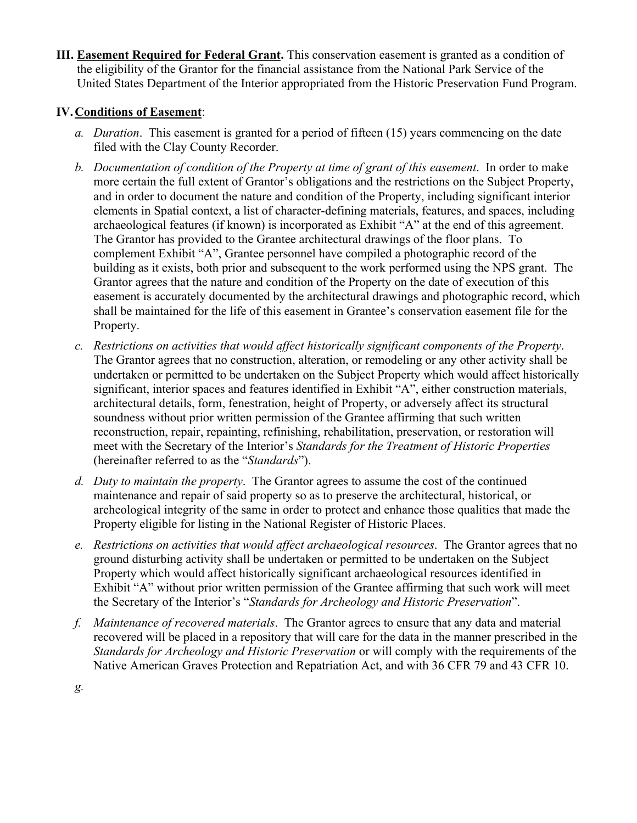**III. Easement Required for Federal Grant.** This conservation easement is granted as a condition of the eligibility of the Grantor for the financial assistance from the National Park Service of the United States Department of the Interior appropriated from the Historic Preservation Fund Program.

## **IV.Conditions of Easement**:

- *a. Duration*. This easement is granted for a period of fifteen (15) years commencing on the date filed with the Clay County Recorder.
- *b. Documentation of condition of the Property at time of grant of this easement*.In order to make more certain the full extent of Grantor's obligations and the restrictions on the Subject Property, and in order to document the nature and condition of the Property, including significant interior elements in Spatial context, a list of character-defining materials, features, and spaces, including archaeological features (if known) is incorporated as Exhibit "A" at the end of this agreement. The Grantor has provided to the Grantee architectural drawings of the floor plans. To complement Exhibit "A", Grantee personnel have compiled a photographic record of the building as it exists, both prior and subsequent to the work performed using the NPS grant. The Grantor agrees that the nature and condition of the Property on the date of execution of this easement is accurately documented by the architectural drawings and photographic record, which shall be maintained for the life of this easement in Grantee's conservation easement file for the Property.
- *c. Restrictions on activities that would affect historically significant components of the Property*. The Grantor agrees that no construction, alteration, or remodeling or any other activity shall be undertaken or permitted to be undertaken on the Subject Property which would affect historically significant, interior spaces and features identified in Exhibit "A", either construction materials, architectural details, form, fenestration, height of Property, or adversely affect its structural soundness without prior written permission of the Grantee affirming that such written reconstruction, repair, repainting, refinishing, rehabilitation, preservation, or restoration will meet with the Secretary of the Interior's *Standards for the Treatment of Historic Properties* (hereinafter referred to as the "*Standards*").
- *d. Duty to maintain the property*. The Grantor agrees to assume the cost of the continued maintenance and repair of said property so as to preserve the architectural, historical, or archeological integrity of the same in order to protect and enhance those qualities that made the Property eligible for listing in the National Register of Historic Places.
- *e. Restrictions on activities that would affect archaeological resources*. The Grantor agrees that no ground disturbing activity shall be undertaken or permitted to be undertaken on the Subject Property which would affect historically significant archaeological resources identified in Exhibit "A" without prior written permission of the Grantee affirming that such work will meet the Secretary of the Interior's "*Standards for Archeology and Historic Preservation*".
- *f. Maintenance of recovered materials*. The Grantor agrees to ensure that any data and material recovered will be placed in a repository that will care for the data in the manner prescribed in the *Standards for Archeology and Historic Preservation* or will comply with the requirements of the Native American Graves Protection and Repatriation Act, and with 36 CFR 79 and 43 CFR 10.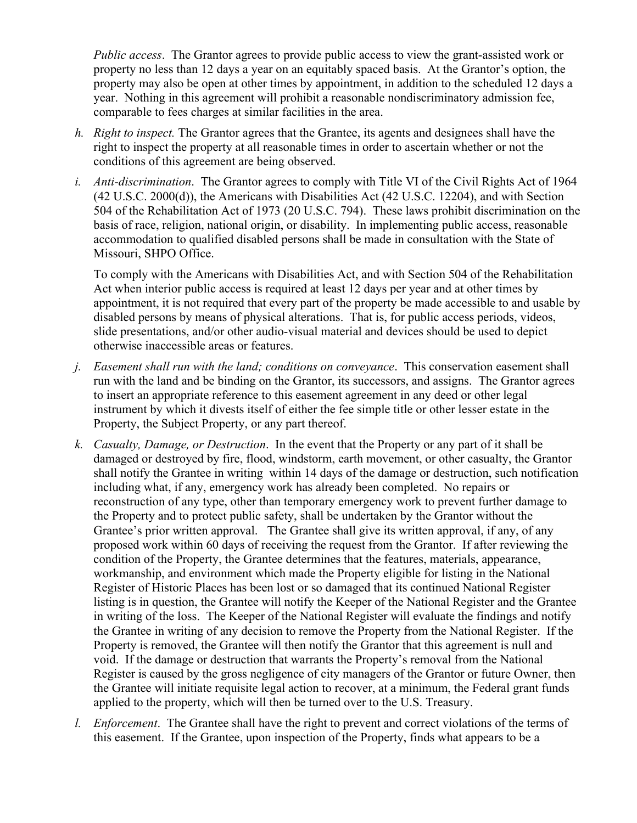*Public access.* The Grantor agrees to provide public access to view the grant-assisted work or property no less than 12 days a year on an equitably spaced basis. At the Grantor's option, the property may also be open at other times by appointment, in addition to the scheduled 12 days a year. Nothing in this agreement will prohibit a reasonable nondiscriminatory admission fee, comparable to fees charges at similar facilities in the area.

- *h. Right to inspect.* The Grantor agrees that the Grantee, its agents and designees shall have the right to inspect the property at all reasonable times in order to ascertain whether or not the conditions of this agreement are being observed.
- *i. Anti-discrimination.* The Grantor agrees to comply with Title VI of the Civil Rights Act of 1964 (42 U.S.C. 2000(d)), the Americans with Disabilities Act (42 U.S.C. 12204), and with Section 504 of the Rehabilitation Act of 1973 (20 U.S.C. 794). These laws prohibit discrimination on the basis of race, religion, national origin, or disability. In implementing public access, reasonable accommodation to qualified disabled persons shall be made in consultation with the State of Missouri, SHPO Office.

To comply with the Americans with Disabilities Act, and with Section 504 of the Rehabilitation Act when interior public access is required at least 12 days per year and at other times by appointment, it is not required that every part of the property be made accessible to and usable by disabled persons by means of physical alterations. That is, for public access periods, videos, slide presentations, and/or other audio-visual material and devices should be used to depict otherwise inaccessible areas or features.

- *j. Easement shall run with the land; conditions on conveyance*. This conservation easement shall run with the land and be binding on the Grantor, its successors, and assigns. The Grantor agrees to insert an appropriate reference to this easement agreement in any deed or other legal instrument by which it divests itself of either the fee simple title or other lesser estate in the Property, the Subject Property, or any part thereof.
- *k. Casualty, Damage, or Destruction*. In the event that the Property or any part of it shall be damaged or destroyed by fire, flood, windstorm, earth movement, or other casualty, the Grantor shall notify the Grantee in writing within 14 days of the damage or destruction, such notification including what, if any, emergency work has already been completed. No repairs or reconstruction of any type, other than temporary emergency work to prevent further damage to the Property and to protect public safety, shall be undertaken by the Grantor without the Grantee's prior written approval. The Grantee shall give its written approval, if any, of any proposed work within 60 days of receiving the request from the Grantor. If after reviewing the condition of the Property, the Grantee determines that the features, materials, appearance, workmanship, and environment which made the Property eligible for listing in the National Register of Historic Places has been lost or so damaged that its continued National Register listing is in question, the Grantee will notify the Keeper of the National Register and the Grantee in writing of the loss. The Keeper of the National Register will evaluate the findings and notify the Grantee in writing of any decision to remove the Property from the National Register. If the Property is removed, the Grantee will then notify the Grantor that this agreement is null and void. If the damage or destruction that warrants the Property's removal from the National Register is caused by the gross negligence of city managers of the Grantor or future Owner, then the Grantee will initiate requisite legal action to recover, at a minimum, the Federal grant funds applied to the property, which will then be turned over to the U.S. Treasury.
- *l. Enforcement*. The Grantee shall have the right to prevent and correct violations of the terms of this easement. If the Grantee, upon inspection of the Property, finds what appears to be a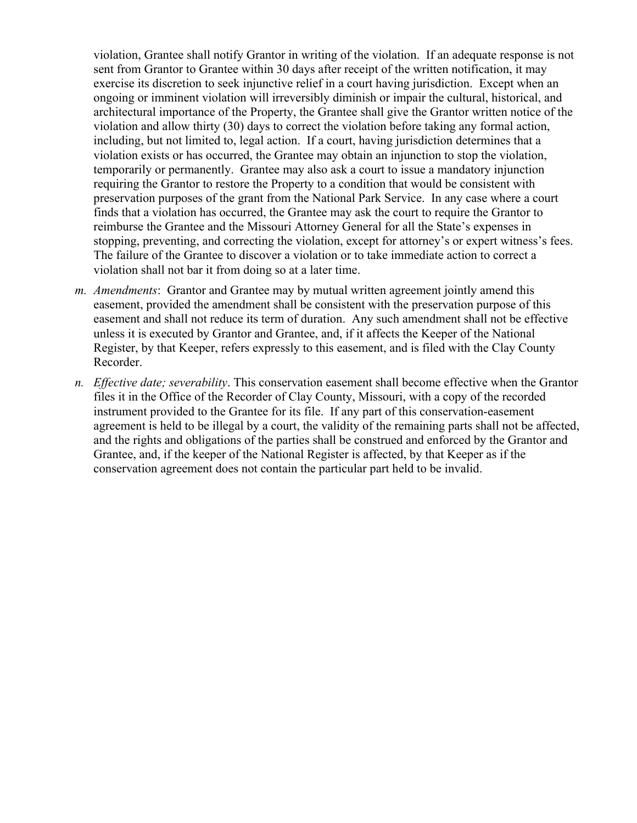violation, Grantee shall notify Grantor in writing of the violation. If an adequate response is not sent from Grantor to Grantee within 30 days after receipt of the written notification, it may exercise its discretion to seek injunctive relief in a court having jurisdiction. Except when an ongoing or imminent violation will irreversibly diminish or impair the cultural, historical, and architectural importance of the Property, the Grantee shall give the Grantor written notice of the violation and allow thirty (30) days to correct the violation before taking any formal action, including, but not limited to, legal action. If a court, having jurisdiction determines that a violation exists or has occurred, the Grantee may obtain an injunction to stop the violation, temporarily or permanently. Grantee may also ask a court to issue a mandatory injunction requiring the Grantor to restore the Property to a condition that would be consistent with preservation purposes of the grant from the National Park Service. In any case where a court finds that a violation has occurred, the Grantee may ask the court to require the Grantor to reimburse the Grantee and the Missouri Attorney General for all the State's expenses in stopping, preventing, and correcting the violation, except for attorney's or expert witness's fees. The failure of the Grantee to discover a violation or to take immediate action to correct a violation shall not bar it from doing so at a later time.

- *m. Amendments*: Grantor and Grantee may by mutual written agreement jointly amend this easement, provided the amendment shall be consistent with the preservation purpose of this easement and shall not reduce its term of duration. Any such amendment shall not be effective unless it is executed by Grantor and Grantee, and, if it affects the Keeper of the National Register, by that Keeper, refers expressly to this easement, and is filed with the Clay County Recorder.
- *n. Effective date; severability*. This conservation easement shall become effective when the Grantor files it in the Office of the Recorder of Clay County, Missouri, with a copy of the recorded instrument provided to the Grantee for its file. If any part of this conservation-easement agreement is held to be illegal by a court, the validity of the remaining parts shall not be affected, and the rights and obligations of the parties shall be construed and enforced by the Grantor and Grantee, and, if the keeper of the National Register is affected, by that Keeper as if the conservation agreement does not contain the particular part held to be invalid.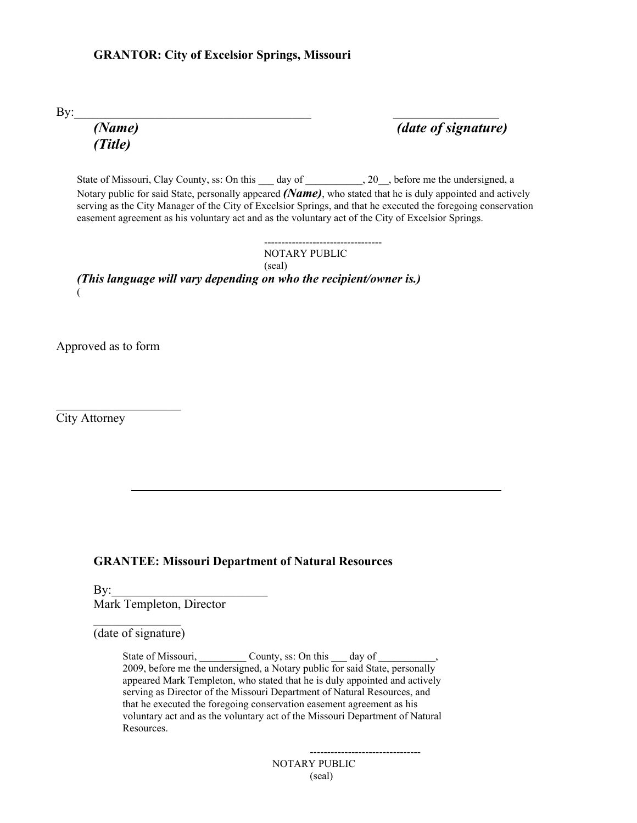#### **GRANTOR: City of Excelsior Springs, Missouri**

 $\text{By:}\quad$ 

*(Title)*

*(Name) (date of signature)*

State of Missouri, Clay County, ss: On this \_\_\_ day of \_\_\_\_\_\_\_\_\_, 20\_\_, before me the undersigned, a Notary public for said State, personally appeared *(Name)*, who stated that he is duly appointed and actively serving as the City Manager of the City of Excelsior Springs, and that he executed the foregoing conservation easement agreement as his voluntary act and as the voluntary act of the City of Excelsior Springs.

-----------------------------------NOTARY PUBLIC (seal) *(This language will vary depending on who the recipient/owner is.)*

Approved as to form

 $($ 

City Attorney

#### **GRANTEE: Missouri Department of Natural Resources**

 $\mathbf{By:}$ Mark Templeton, Director

 $\frac{1}{2}$  ,  $\frac{1}{2}$  ,  $\frac{1}{2}$  ,  $\frac{1}{2}$  ,  $\frac{1}{2}$  ,  $\frac{1}{2}$  ,  $\frac{1}{2}$  ,  $\frac{1}{2}$  ,  $\frac{1}{2}$  ,  $\frac{1}{2}$  ,  $\frac{1}{2}$  ,  $\frac{1}{2}$  ,  $\frac{1}{2}$  ,  $\frac{1}{2}$  ,  $\frac{1}{2}$  ,  $\frac{1}{2}$  ,  $\frac{1}{2}$  ,  $\frac{1}{2}$  ,  $\frac{1$ 

 $\mathcal{L}_\text{max}$  and  $\mathcal{L}_\text{max}$  are the set of the set of the set of the set of the set of the set of the set of the set of the set of the set of the set of the set of the set of the set of the set of the set of the set o

(date of signature)

State of Missouri, \_\_\_\_\_\_\_\_\_\_ County, ss: On this \_\_\_ day of \_\_\_\_ 2009, before me the undersigned, a Notary public for said State, personally appeared Mark Templeton, who stated that he is duly appointed and actively serving as Director of the Missouri Department of Natural Resources, and that he executed the foregoing conservation easement agreement as his voluntary act and as the voluntary act of the Missouri Department of Natural Resources.

--------------------------------